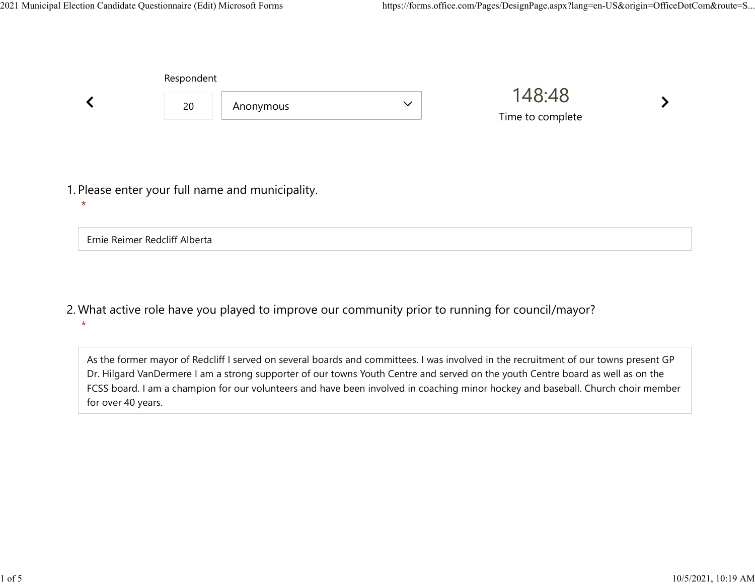|                                                             | Respondent |           |              |                            |  |  |
|-------------------------------------------------------------|------------|-----------|--------------|----------------------------|--|--|
|                                                             | 20         | Anonymous | $\checkmark$ | 148:48<br>Time to complete |  |  |
|                                                             |            |           |              |                            |  |  |
| 1. Please enter your full name and municipality.<br>$\star$ |            |           |              |                            |  |  |
| Ernie Reimer Redcliff Alberta                               |            |           |              |                            |  |  |

What active role have you played to improve our community prior to running for council/mayor? 2. \*

As the former mayor of Redcliff I served on several boards and committees. I was involved in the recruitment of our towns present GP Dr. Hilgard VanDermere I am a strong supporter of our towns Youth Centre and served on the youth Centre board as well as on the FCSS board. I am a champion for our volunteers and have been involved in coaching minor hockey and baseball. Church choir member for over 40 years.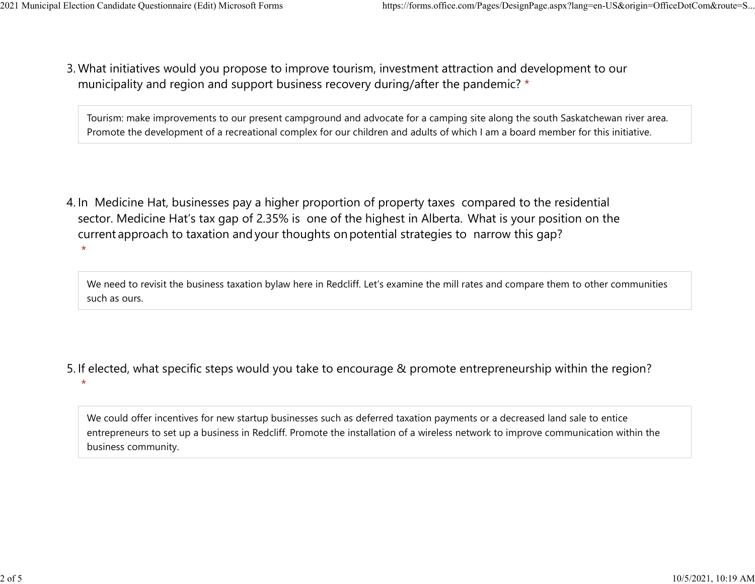$\star$ 

 $\star$ 

What initiatives would you propose to improve tourism, investment attraction and development to our 3. municipality and region and support business recovery during/after the pandemic? \* 2021 Municipal Election Candidate Questionnaire (Edit) Microsoft Forms https://forms.office.com/Pages/DesignPage.aspx?lang=en-US&origin=OfficeDotCom&route=S...<br>2 Mhat initiatives would you propose to improve tourism invest

> Tourism: make improvements to our present campground and advocate for a camping site along the south Saskatchewan river area. Promote the development of a recreational complex for our children and adults of which I am a board member for this initiative.

4. In Medicine Hat, businesses pay a higher proportion of property taxes compared to the residential sector.  Medicine Hat's tax gap of 2.35% is one of the highest in Alberta.  What is your position on the current approach to taxation and your thoughts on potential strategies to narrow this gap?

We need to revisit the business taxation bylaw here in Redcliff. Let's examine the mill rates and compare them to other communities such as ours.

- 5. If elected, what specific steps would you take to encourage & promote entrepreneurship within the region?
	- We could offer incentives for new startup businesses such as deferred taxation payments or a decreased land sale to entice entrepreneurs to set up a business in Redcliff. Promote the installation of a wireless network to improve communication within the business community.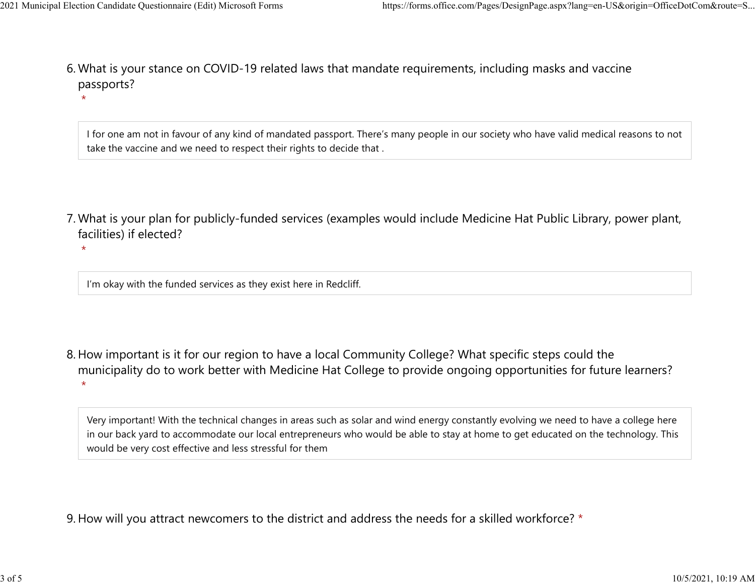$\star$ 

 $\star$ 

What is your stance on COVID-19 related laws that mandate requirements, including masks and vaccine 6. passports? 2021 Municipal Election Candidate Questionnaire (Edit) Microsoft Forms https://forms.office.com/Pages/DesignPage.aspx?lang=en-US&origin=OfficeDotCom&route=S...<br>6 Mhat is vour stance on COVID-19 related laws that mandate re

> I for one am not in favour of any kind of mandated passport. There's many people in our society who have valid medical reasons to not take the vaccine and we need to respect their rights to decide that .

What is your plan for publicly-funded services (examples would include Medicine Hat Public Library, power plant, 7. facilities) if elected?

 $\star$ 

I'm okay with the funded services as they exist here in Redcliff.

8. How important is it for our region to have a local Community College? What specific steps could the municipality do to work better with Medicine Hat College to provide ongoing opportunities for future learners?

Very important! With the technical changes in areas such as solar and wind energy constantly evolving we need to have a college here in our back yard to accommodate our local entrepreneurs who would be able to stay at home to get educated on the technology. This would be very cost effective and less stressful for them

9. How will you attract newcomers to the district and address the needs for a skilled workforce? \*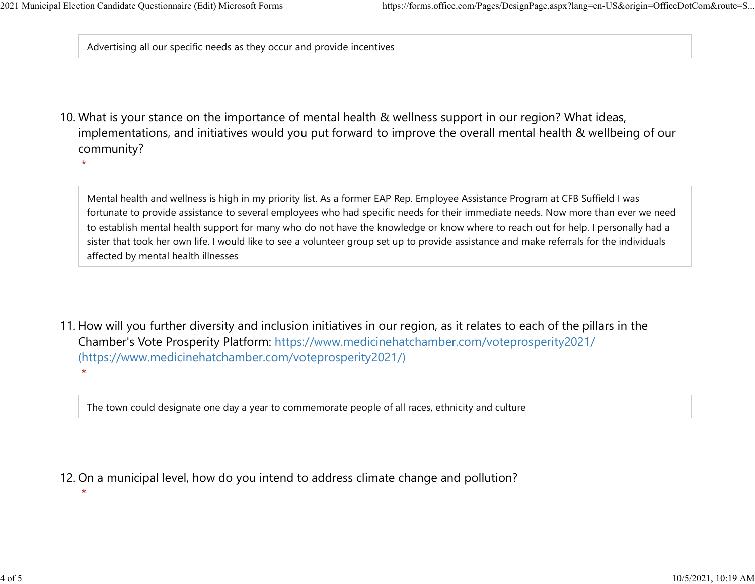$\star$ 

 $\star$ 

Advertising all our specific needs as they occur and provide incentives

10. What is your stance on the importance of mental health & wellness support in our region? What ideas, implementations, and initiatives would you put forward to improve the overall mental health & wellbeing of our community?

Mental health and wellness is high in my priority list. As a former EAP Rep. Employee Assistance Program at CFB Suffield I was fortunate to provide assistance to several employees who had specific needs for their immediate needs. Now more than ever we need to establish mental health support for many who do not have the knowledge or know where to reach out for help. I personally had a sister that took her own life. I would like to see a volunteer group set up to provide assistance and make referrals for the individuals affected by mental health illnesses

11. How will you further diversity and inclusion initiatives in our region, as it relates to each of the pillars in the Chamber's Vote Prosperity Platform: https://www.medicinehatchamber.com/voteprosperity2021/ (https://www.medicinehatchamber.com/voteprosperity2021/)  $\star$ 

The town could designate one day a year to commemorate people of all races, ethnicity and culture

12. On a municipal level, how do you intend to address climate change and pollution?